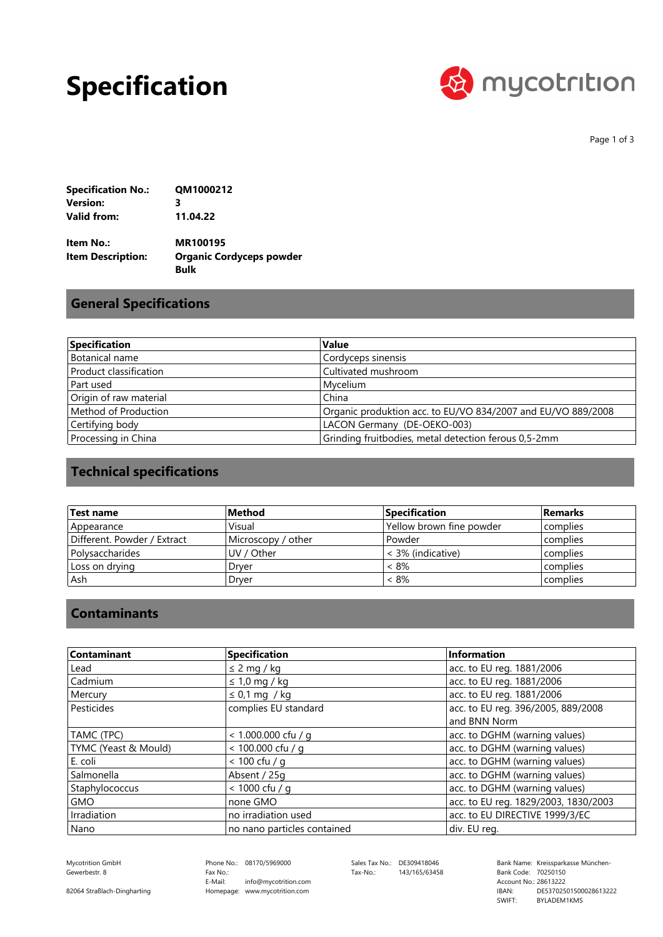### **Specification**



Page 1 of 3

| <b>Specification No.:</b> | QM1000212 |
|---------------------------|-----------|
| Version:                  | з         |
| Valid from:               | 11.04.22  |

**Bulk Organic Cordyceps powder MR100195 Item Description: Item No.:**

#### **General Specifications**

| Specification          | <b>Value</b>                                                 |
|------------------------|--------------------------------------------------------------|
| Botanical name         | Cordyceps sinensis                                           |
| Product classification | Cultivated mushroom                                          |
| Part used              | Mycelium                                                     |
| Origin of raw material | China                                                        |
| Method of Production   | Organic produktion acc. to EU/VO 834/2007 and EU/VO 889/2008 |
| Certifying body        | LACON Germany (DE-OEKO-003)                                  |
| Processing in China    | Grinding fruitbodies, metal detection ferous 0,5-2mm         |

### **Technical specifications**

| Test name                   | Method             | <b>Specification</b>     | <b>Remarks</b> |
|-----------------------------|--------------------|--------------------------|----------------|
| Appearance                  | Visual             | Yellow brown fine powder | complies       |
| Different. Powder / Extract | Microscopy / other | Powder                   | complies       |
| l Polysaccharides           | UV / Other         | < 3% (indicative)        | complies       |
| Loss on drying              | Drver              | < 8%                     | complies       |
| . Ash                       | Drver              | < 8%                     | complies       |

#### **Contaminants**

| Contaminant          | Specification               | Information                          |
|----------------------|-----------------------------|--------------------------------------|
| Lead                 | $\leq$ 2 mg / kg            | acc. to EU reg. 1881/2006            |
| Cadmium              | $\leq 1.0$ mg / kg          | acc. to EU reg. 1881/2006            |
| Mercury              | $\leq$ 0,1 mg / kg          | acc. to EU reg. 1881/2006            |
| Pesticides           | complies EU standard        | acc. to EU reg. 396/2005, 889/2008   |
|                      |                             | and BNN Norm                         |
| TAMC (TPC)           | $< 1.000.000$ cfu / g       | acc. to DGHM (warning values)        |
| TYMC (Yeast & Mould) | < 100.000 cfu / q           | acc. to DGHM (warning values)        |
| E. coli              | $< 100$ cfu / a             | acc. to DGHM (warning values)        |
| Salmonella           | Absent / 25g                | acc. to DGHM (warning values)        |
| Staphylococcus       | $< 1000$ cfu / g            | acc. to DGHM (warning values)        |
| <b>GMO</b>           | none GMO                    | acc. to EU reg. 1829/2003, 1830/2003 |
| Irradiation          | no irradiation used         | acc. to EU DIRECTIVE 1999/3/EC       |
| Nano                 | no nano particles contained | div. EU reg.                         |

Gewerbestr. 8

Phone No.: 08170/5969000 Homepage: www.mycotrition.com E-Mail: Fax No.: info@mycotrition.com

Tax-No.: 143/165/63458

Mycotrition GmbH 08170/5969000 Sales Tax No.: DE309418046 Bank Name: Kreissparkasse München-Bank Code: 70250150 SWIFT: IBAN: Bank Code: 70250150<br>Account No.: 28613222 DE53702501500028613222 BYLADEM1KMS

82064 Straßlach-Dingharting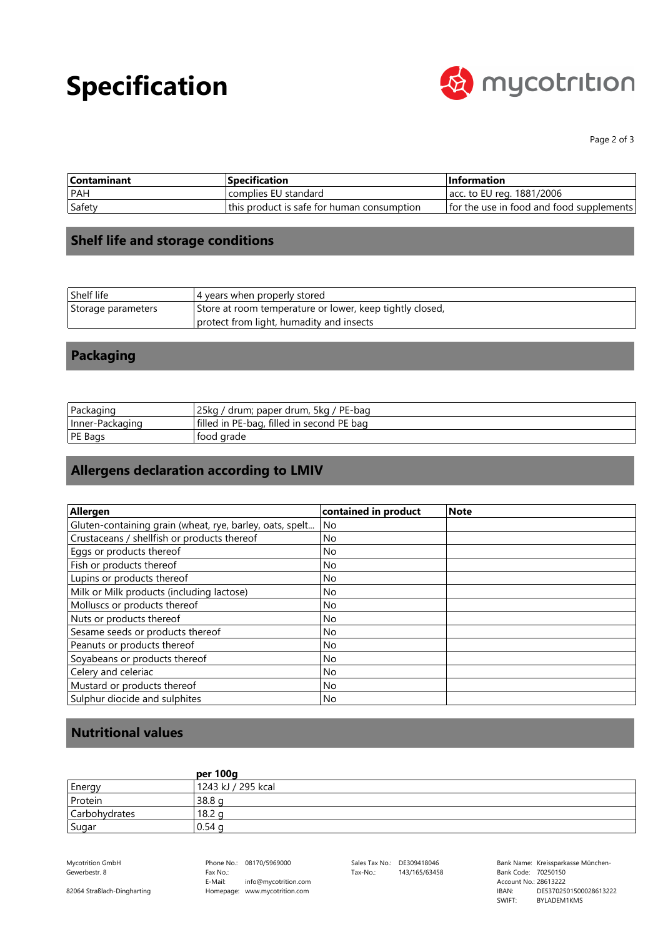# **Specification**



Page 2 of 3

| <b>Contaminant</b> | <b>Specification</b>                       | <b>Information</b>                       |
|--------------------|--------------------------------------------|------------------------------------------|
| PAH                | complies EU standard                       | acc. to EU reg. 1881/2006                |
| Safety             | this product is safe for human consumption | for the use in food and food supplements |

### **Shelf life and storage conditions**

| Shelf life         | 4 years when properly stored                             |
|--------------------|----------------------------------------------------------|
| Storage parameters | Store at room temperature or lower, keep tightly closed, |
|                    | protect from light, humadity and insects                 |

### **Packaging**

| Packaging       | 25ka<br>drum; paper drum, 5kg / PE-bag    |
|-----------------|-------------------------------------------|
| Inner-Packaging | filled in PE-bag, filled in second PE bag |
| <b>PE Bags</b>  | ' food arade                              |

### **Allergens declaration according to LMIV**

| Allergen                                                 | contained in product | <b>Note</b> |
|----------------------------------------------------------|----------------------|-------------|
| Gluten-containing grain (wheat, rye, barley, oats, spelt | No                   |             |
| Crustaceans / shellfish or products thereof              | <b>No</b>            |             |
| Eggs or products thereof                                 | No.                  |             |
| Fish or products thereof                                 | No.                  |             |
| Lupins or products thereof                               | <b>No</b>            |             |
| Milk or Milk products (including lactose)                | No                   |             |
| Molluscs or products thereof                             | No.                  |             |
| Nuts or products thereof                                 | No                   |             |
| Sesame seeds or products thereof                         | No.                  |             |
| Peanuts or products thereof                              | No                   |             |
| Soyabeans or products thereof                            | No.                  |             |
| Celery and celeriac                                      | No                   |             |
| Mustard or products thereof                              | No.                  |             |
| Sulphur diocide and sulphites                            | No                   |             |

#### **Nutritional values**

|               | per 100g           |
|---------------|--------------------|
| Energy        | 1243 kJ / 295 kcal |
| Protein       | 38.8 <sub>q</sub>  |
| Carbohydrates | 18.2 g             |
| Sugar         | 0.54 <sub>q</sub>  |

Gewerbestr. 8

Phone No.: 08170/5969000 Homepage: www.mycotrition.com E-Mail: Fax No.: info@mycotrition.com

Tax-No.: 143/165/63458

Mycotrition GmbH 08170/5969000 Sales Tax No.: DE309418046 Bank Name: Kreissparkasse München-Bank Code: 70250150 SWIFT: IBAN: Bank Code: 70250150<br>Account No.: 28613222 DE53702501500028613222 BYLADEM1KMS

82064 Straßlach-Dingharting